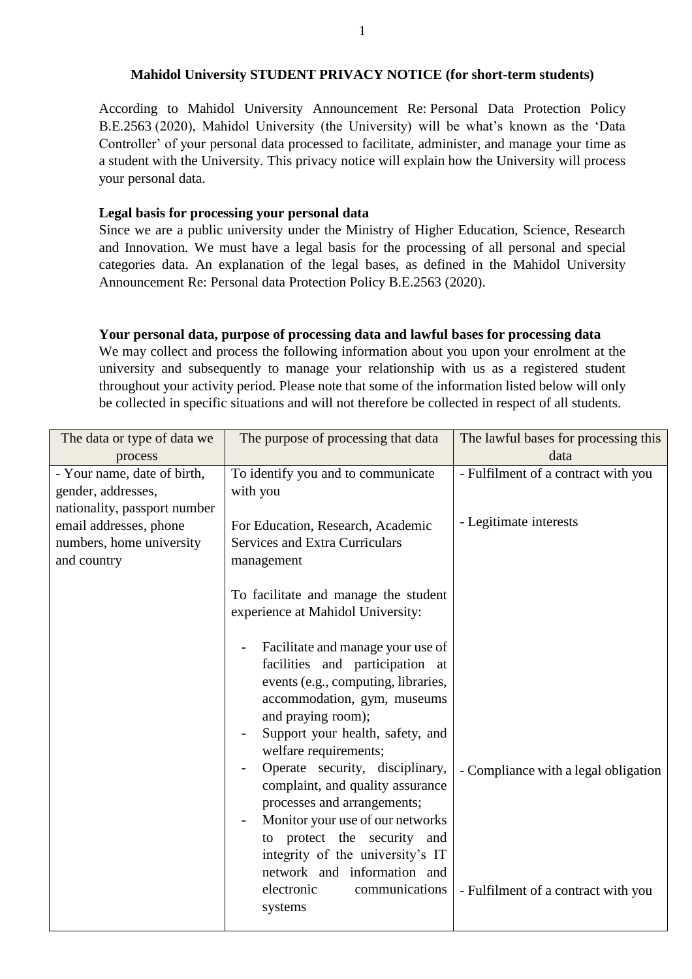### **Mahidol University STUDENT PRIVACY NOTICE (for short-term students)**

According to Mahidol University Announcement Re: Personal Data Protection Policy B.E.2563 (2020), Mahidol University (the University) will be what's known as the 'Data Controller' of your personal data processed to facilitate, administer, and manage your time as a student with the University. This privacy notice will explain how the University will process your personal data.

# **Legal basis for processing your personal data**

Since we are a public university under the Ministry of Higher Education, Science, Research and Innovation. We must have a legal basis for the processing of all personal and special categories data. An explanation of the legal bases, as defined in the Mahidol University Announcement Re: Personal data Protection Policy B.E.2563 (2020).

### **Your personal data, purpose of processing data and lawful bases for processing data**

We may collect and process the following information about you upon your enrolment at the university and subsequently to manage your relationship with us as a registered student throughout your activity period. Please note that some of the information listed below will only be collected in specific situations and will not therefore be collected in respect of all students.

| The data or type of data we                                                                                                                            | The purpose of processing that data                                                                                                                                                                                                                                                                                                                                                                                                                                                                                                                                                               | The lawful bases for processing this                                        |
|--------------------------------------------------------------------------------------------------------------------------------------------------------|---------------------------------------------------------------------------------------------------------------------------------------------------------------------------------------------------------------------------------------------------------------------------------------------------------------------------------------------------------------------------------------------------------------------------------------------------------------------------------------------------------------------------------------------------------------------------------------------------|-----------------------------------------------------------------------------|
| process                                                                                                                                                |                                                                                                                                                                                                                                                                                                                                                                                                                                                                                                                                                                                                   | data                                                                        |
| - Your name, date of birth,<br>gender, addresses,<br>nationality, passport number<br>email addresses, phone<br>numbers, home university<br>and country | To identify you and to communicate<br>with you<br>For Education, Research, Academic<br><b>Services and Extra Curriculars</b><br>management                                                                                                                                                                                                                                                                                                                                                                                                                                                        | - Fulfilment of a contract with you<br>- Legitimate interests               |
|                                                                                                                                                        | To facilitate and manage the student<br>experience at Mahidol University:<br>Facilitate and manage your use of<br>facilities and participation at<br>events (e.g., computing, libraries,<br>accommodation, gym, museums<br>and praying room);<br>Support your health, safety, and<br>welfare requirements;<br>Operate security, disciplinary,<br>complaint, and quality assurance<br>processes and arrangements;<br>Monitor your use of our networks<br>to protect the security and<br>integrity of the university's IT<br>network and information and<br>electronic<br>communications<br>systems | - Compliance with a legal obligation<br>- Fulfilment of a contract with you |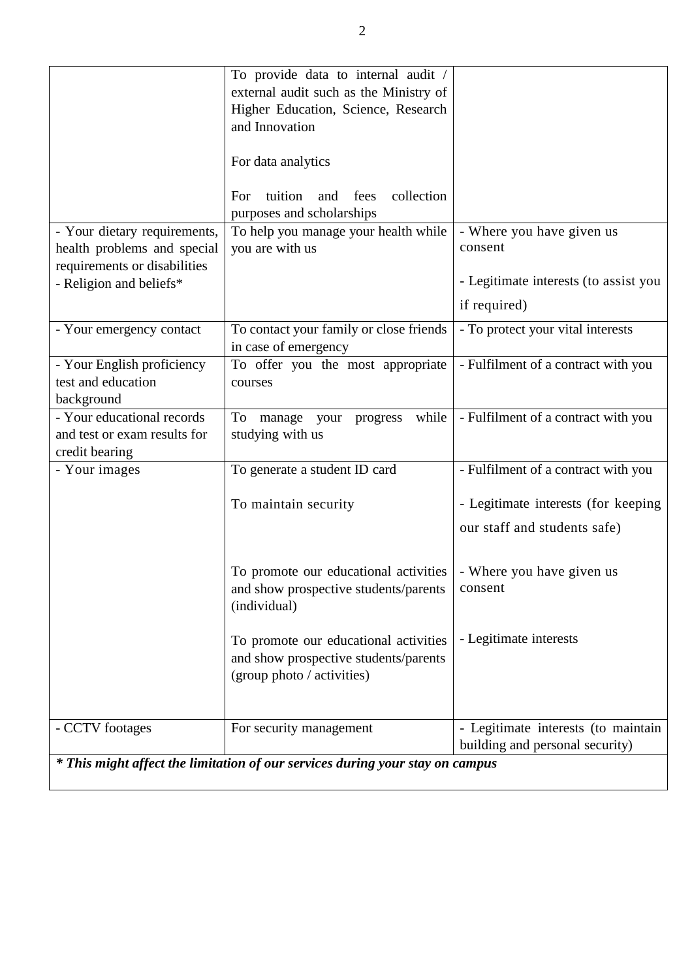|                                                                               | To provide data to internal audit /         |                                       |  |  |
|-------------------------------------------------------------------------------|---------------------------------------------|---------------------------------------|--|--|
|                                                                               | external audit such as the Ministry of      |                                       |  |  |
|                                                                               | Higher Education, Science, Research         |                                       |  |  |
|                                                                               | and Innovation                              |                                       |  |  |
|                                                                               |                                             |                                       |  |  |
|                                                                               |                                             |                                       |  |  |
|                                                                               | For data analytics                          |                                       |  |  |
|                                                                               |                                             |                                       |  |  |
|                                                                               | tuition<br>collection<br>fees<br>For<br>and |                                       |  |  |
|                                                                               | purposes and scholarships                   |                                       |  |  |
| - Your dietary requirements,                                                  | To help you manage your health while        | - Where you have given us             |  |  |
| health problems and special                                                   | you are with us                             | consent                               |  |  |
| requirements or disabilities                                                  |                                             |                                       |  |  |
| - Religion and beliefs*                                                       |                                             | - Legitimate interests (to assist you |  |  |
|                                                                               |                                             | if required)                          |  |  |
| - Your emergency contact                                                      | To contact your family or close friends     | - To protect your vital interests     |  |  |
|                                                                               | in case of emergency                        |                                       |  |  |
| - Your English proficiency                                                    | To offer you the most appropriate           | - Fulfilment of a contract with you   |  |  |
| test and education                                                            | courses                                     |                                       |  |  |
| background                                                                    |                                             |                                       |  |  |
| - Your educational records                                                    | while<br>To manage your<br>progress         | - Fulfilment of a contract with you   |  |  |
| and test or exam results for                                                  | studying with us                            |                                       |  |  |
| credit bearing                                                                |                                             |                                       |  |  |
| - Your images                                                                 | To generate a student ID card               | - Fulfilment of a contract with you   |  |  |
|                                                                               |                                             |                                       |  |  |
|                                                                               | To maintain security                        | - Legitimate interests (for keeping   |  |  |
|                                                                               |                                             | our staff and students safe)          |  |  |
|                                                                               |                                             |                                       |  |  |
|                                                                               |                                             |                                       |  |  |
|                                                                               | To promote our educational activities       | - Where you have given us             |  |  |
|                                                                               | and show prospective students/parents       | consent                               |  |  |
|                                                                               | (individual)                                |                                       |  |  |
|                                                                               |                                             |                                       |  |  |
|                                                                               | To promote our educational activities       | - Legitimate interests                |  |  |
|                                                                               | and show prospective students/parents       |                                       |  |  |
|                                                                               | (group photo / activities)                  |                                       |  |  |
|                                                                               |                                             |                                       |  |  |
| - CCTV footages                                                               | For security management                     | - Legitimate interests (to maintain   |  |  |
|                                                                               |                                             | building and personal security)       |  |  |
| * This might affect the limitation of our services during your stay on campus |                                             |                                       |  |  |
|                                                                               |                                             |                                       |  |  |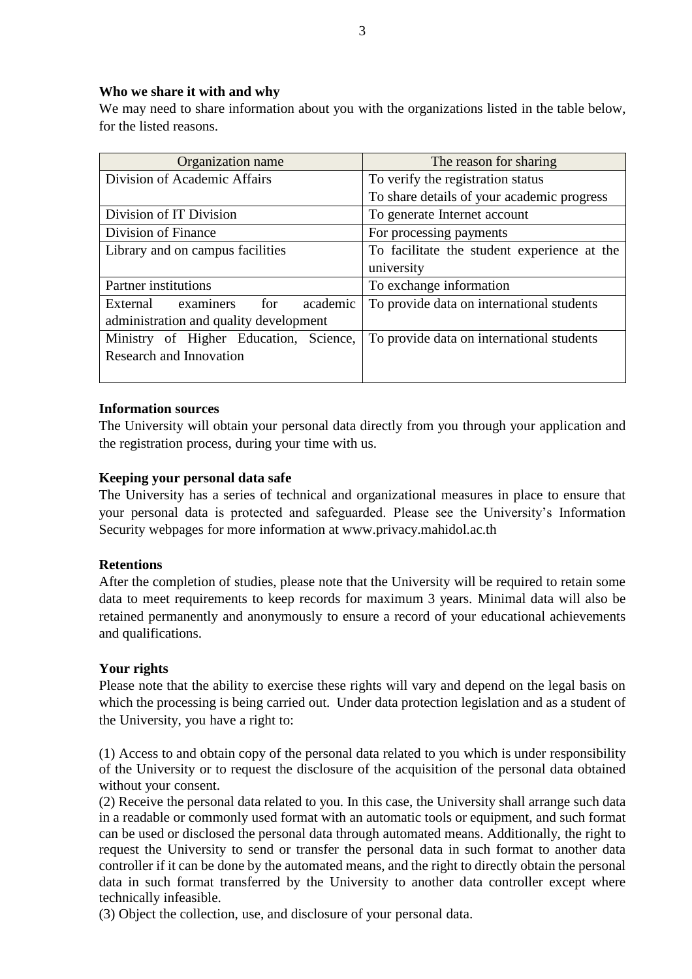## **Who we share it with and why**

We may need to share information about you with the organizations listed in the table below, for the listed reasons.

| Organization name                      | The reason for sharing                      |  |
|----------------------------------------|---------------------------------------------|--|
| Division of Academic Affairs           | To verify the registration status           |  |
|                                        | To share details of your academic progress  |  |
| Division of IT Division                | To generate Internet account                |  |
| Division of Finance                    | For processing payments                     |  |
| Library and on campus facilities       | To facilitate the student experience at the |  |
|                                        | university                                  |  |
| <b>Partner</b> institutions            | To exchange information                     |  |
| External examiners<br>academic<br>for  | To provide data on international students   |  |
| administration and quality development |                                             |  |
| Ministry of Higher Education, Science, | To provide data on international students   |  |
| <b>Research and Innovation</b>         |                                             |  |
|                                        |                                             |  |

## **Information sources**

The University will obtain your personal data directly from you through your application and the registration process, during your time with us.

### **Keeping your personal data safe**

The University has a series of technical and organizational measures in place to ensure that your personal data is protected and safeguarded. Please see the University's Information Security webpages for more information at www.privacy.mahidol.ac.th

### **Retentions**

After the completion of studies, please note that the University will be required to retain some data to meet requirements to keep records for maximum 3 years. Minimal data will also be retained permanently and anonymously to ensure a record of your educational achievements and qualifications.

### **Your rights**

Please note that the ability to exercise these rights will vary and depend on the legal basis on which the processing is being carried out. Under data protection legislation and as a student of the University, you have a right to:

(1) Access to and obtain copy of the personal data related to you which is under responsibility of the University or to request the disclosure of the acquisition of the personal data obtained without your consent.

(2) Receive the personal data related to you. In this case, the University shall arrange such data in a readable or commonly used format with an automatic tools or equipment, and such format can be used or disclosed the personal data through automated means. Additionally, the right to request the University to send or transfer the personal data in such format to another data controller if it can be done by the automated means, and the right to directly obtain the personal data in such format transferred by the University to another data controller except where technically infeasible.

(3) Object the collection, use, and disclosure of your personal data.